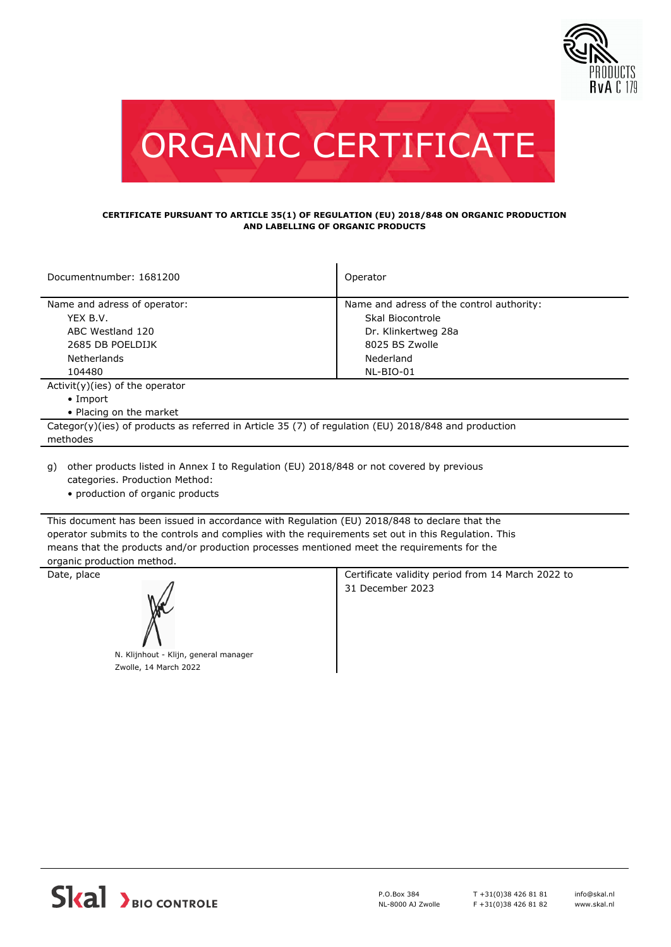



## **CERTIFICATE PURSUANT TO ARTICLE 35(1) OF REGULATION (EU) 2018/848 ON ORGANIC PRODUCTION AND LABELLING OF ORGANIC PRODUCTS**

| Documentnumber: 1681200                                                                              | Operator                                  |  |
|------------------------------------------------------------------------------------------------------|-------------------------------------------|--|
|                                                                                                      |                                           |  |
| Name and adress of operator:                                                                         | Name and adress of the control authority: |  |
| YEX B.V.                                                                                             | Skal Biocontrole                          |  |
| ABC Westland 120                                                                                     | Dr. Klinkertweg 28a                       |  |
| 2685 DB POELDIJK                                                                                     | 8025 BS Zwolle                            |  |
| <b>Netherlands</b>                                                                                   | Nederland                                 |  |
| 104480                                                                                               | NL-BIO-01                                 |  |
| $Activity)(ies)$ of the operator                                                                     |                                           |  |
| $\bullet$ Import                                                                                     |                                           |  |
| • Placing on the market                                                                              |                                           |  |
| Categor(y)(ies) of products as referred in Article 35 (7) of regulation (EU) 2018/848 and production |                                           |  |
| methodes                                                                                             |                                           |  |
|                                                                                                      |                                           |  |

- other products listed in Annex I to Regulation (EU) 2018/848 or not covered by previous g) categories. Production Method:
	- production of organic products

This document has been issued in accordance with Regulation (EU) 2018/848 to declare that the operator submits to the controls and complies with the requirements set out in this Regulation. This means that the products and/or production processes mentioned meet the requirements for the organic production method.



N. Klijnhout - Klijn, general manager Zwolle, 14 March 2022

Date, place **Certificate validity period from 14 March 2022 to** Certificate validity period from 14 March 2022 to 31 December 2023